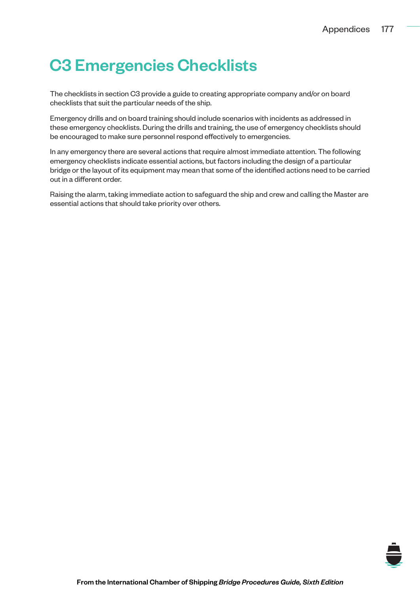# C3 Emergencies Checklists

The checklists in section C3 provide a guide to creating appropriate company and/or on board checklists that suit the particular needs of the ship.

Emergency drills and on board training should include scenarios with incidents as addressed in these emergency checklists. During the drills and training, the use of emergency checklists should be encouraged to make sure personnel respond effectively to emergencies.

In any emergency there are several actions that require almost immediate attention. The following emergency checklists indicate essential actions, but factors including the design of a particular bridge or the layout of its equipment may mean that some of the identified actions need to be carried out in a different order.

Raising the alarm, taking immediate action to safeguard the ship and crew and calling the Master are essential actions that should take priority over others.

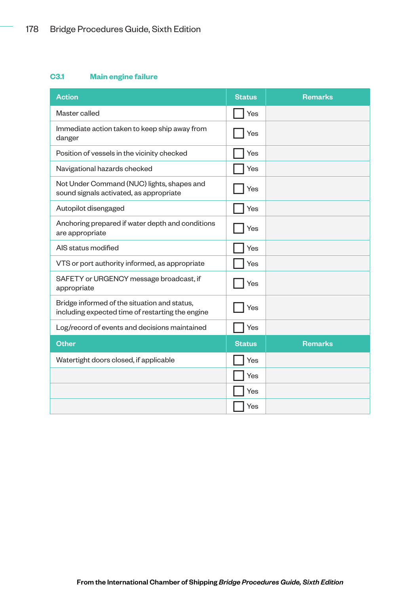## **C3.1 Main engine failure**

| <b>Action</b>                                                                                    | <b>Status</b> | <b>Remarks</b> |
|--------------------------------------------------------------------------------------------------|---------------|----------------|
| Master called                                                                                    | Yes           |                |
| Immediate action taken to keep ship away from<br>danger                                          | Yes           |                |
| Position of vessels in the vicinity checked                                                      | Yes           |                |
| Navigational hazards checked                                                                     | Yes           |                |
| Not Under Command (NUC) lights, shapes and<br>sound signals activated, as appropriate            | Yes           |                |
| Autopilot disengaged                                                                             | Yes           |                |
| Anchoring prepared if water depth and conditions<br>are appropriate                              | Yes           |                |
| AIS status modified                                                                              | Yes           |                |
| VTS or port authority informed, as appropriate                                                   | Yes           |                |
| SAFETY or URGENCY message broadcast, if<br>appropriate                                           | Yes           |                |
| Bridge informed of the situation and status,<br>including expected time of restarting the engine | Yes           |                |
| Log/record of events and decisions maintained                                                    | Yes           |                |
| <b>Other</b>                                                                                     | <b>Status</b> | <b>Remarks</b> |
| Watertight doors closed, if applicable                                                           | Yes           |                |
|                                                                                                  | Yes           |                |
|                                                                                                  | Yes           |                |
|                                                                                                  | Yes           |                |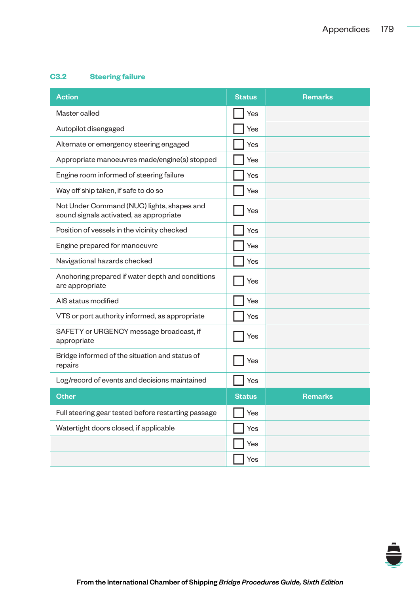# **C3.2 Steering failure**

| <b>Action</b>                                                                         | <b>Status</b> | <b>Remarks</b> |
|---------------------------------------------------------------------------------------|---------------|----------------|
| Master called                                                                         | Yes           |                |
| Autopilot disengaged                                                                  | Yes           |                |
| Alternate or emergency steering engaged                                               | Yes           |                |
| Appropriate manoeuvres made/engine(s) stopped                                         | Yes           |                |
| Engine room informed of steering failure                                              | Yes           |                |
| Way off ship taken, if safe to do so                                                  | Yes           |                |
| Not Under Command (NUC) lights, shapes and<br>sound signals activated, as appropriate | Yes           |                |
| Position of vessels in the vicinity checked                                           | Yes           |                |
| Engine prepared for manoeuvre                                                         | Yes           |                |
| Navigational hazards checked                                                          | Yes           |                |
| Anchoring prepared if water depth and conditions<br>are appropriate                   | Yes           |                |
| AIS status modified                                                                   | Yes           |                |
| VTS or port authority informed, as appropriate                                        | Yes           |                |
| SAFETY or URGENCY message broadcast, if<br>appropriate                                | Yes           |                |
| Bridge informed of the situation and status of<br>repairs                             | Yes           |                |
| Log/record of events and decisions maintained                                         | Yes           |                |
| <b>Other</b>                                                                          | <b>Status</b> | <b>Remarks</b> |
| Full steering gear tested before restarting passage                                   | Yes           |                |
| Watertight doors closed, if applicable                                                | Yes           |                |
|                                                                                       | Yes           |                |
|                                                                                       | Yes           |                |

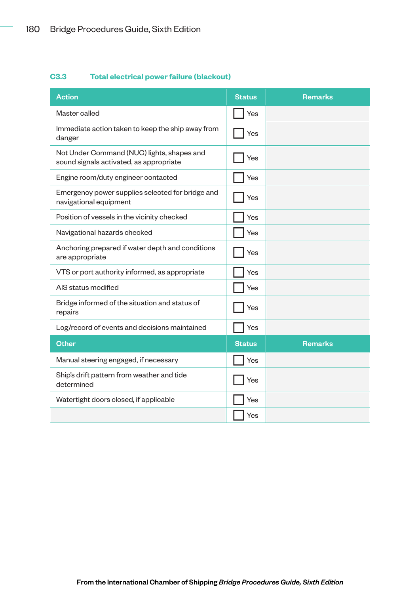## **C3.3 Total electrical power failure (blackout)**

| <b>Action</b>                                                                         | <b>Status</b> | <b>Remarks</b> |
|---------------------------------------------------------------------------------------|---------------|----------------|
| Master called                                                                         | Yes           |                |
| Immediate action taken to keep the ship away from<br>danger                           | Yes           |                |
| Not Under Command (NUC) lights, shapes and<br>sound signals activated, as appropriate | Yes           |                |
| Engine room/duty engineer contacted                                                   | Yes           |                |
| Emergency power supplies selected for bridge and<br>navigational equipment            | Yes           |                |
| Position of vessels in the vicinity checked                                           | Yes           |                |
| Navigational hazards checked                                                          | Yes           |                |
| Anchoring prepared if water depth and conditions<br>are appropriate                   | Yes           |                |
| VTS or port authority informed, as appropriate                                        | Yes           |                |
| AIS status modified                                                                   | Yes           |                |
| Bridge informed of the situation and status of<br>repairs                             | Yes           |                |
| Log/record of events and decisions maintained                                         | Yes           |                |
| <b>Other</b>                                                                          | <b>Status</b> | <b>Remarks</b> |
| Manual steering engaged, if necessary                                                 | Yes           |                |
| Ship's drift pattern from weather and tide<br>determined                              | Yes           |                |
| Watertight doors closed, if applicable                                                | Yes           |                |
|                                                                                       | Yes           |                |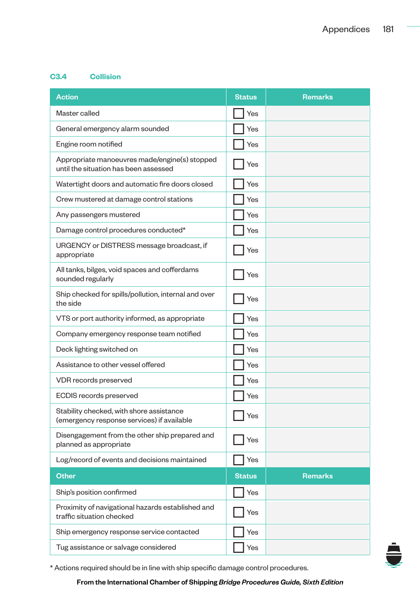## **C3.4 Collision**

| <b>Action</b>                                                                          | <b>Status</b> | <b>Remarks</b> |
|----------------------------------------------------------------------------------------|---------------|----------------|
| Master called                                                                          | Yes           |                |
| General emergency alarm sounded                                                        | Yes           |                |
| Engine room notified                                                                   | Yes           |                |
| Appropriate manoeuvres made/engine(s) stopped<br>until the situation has been assessed | Yes           |                |
| Watertight doors and automatic fire doors closed                                       | Yes           |                |
| Crew mustered at damage control stations                                               | Yes           |                |
| Any passengers mustered                                                                | Yes           |                |
| Damage control procedures conducted*                                                   | Yes           |                |
| URGENCY or DISTRESS message broadcast, if<br>appropriate                               | Yes           |                |
| All tanks, bilges, void spaces and cofferdams<br>sounded regularly                     | Yes           |                |
| Ship checked for spills/pollution, internal and over<br>the side                       | Yes           |                |
| VTS or port authority informed, as appropriate                                         | Yes           |                |
| Company emergency response team notified                                               | Yes           |                |
| Deck lighting switched on                                                              | Yes           |                |
| Assistance to other vessel offered                                                     | Yes           |                |
| VDR records preserved                                                                  | Yes           |                |
| ECDIS records preserved                                                                | Yes           |                |
| Stability checked, with shore assistance<br>(emergency response services) if available | Yes           |                |
| Disengagement from the other ship prepared and<br>planned as appropriate               | Yes           |                |
| Log/record of events and decisions maintained                                          | Yes           |                |
| <b>Other</b>                                                                           | <b>Status</b> | Remarks        |
| Ship's position confirmed                                                              | Yes           |                |
| Proximity of navigational hazards established and<br>traffic situation checked         | Yes           |                |
| Ship emergency response service contacted                                              | Yes           |                |
| Tug assistance or salvage considered                                                   | Yes           |                |



\* Actions required should be in line with ship specific damage control procedures.

#### From the International Chamber of Shipping *Bridge Procedures Guide, Sixth Edition*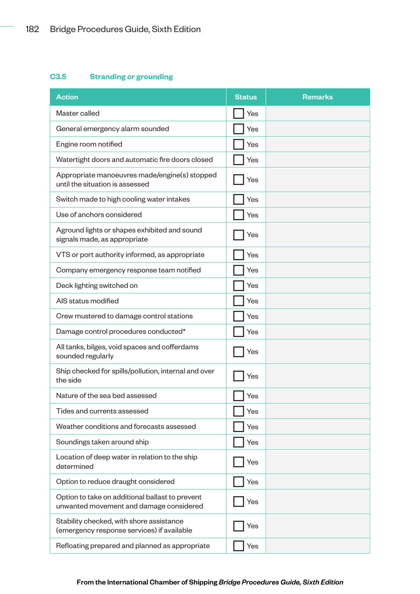# **C3.5 Stranding or grounding**

| <b>Action</b>                                                                              | <b>Status</b> | <b>Remarks</b> |
|--------------------------------------------------------------------------------------------|---------------|----------------|
| Master called                                                                              | Yes           |                |
| General emergency alarm sounded                                                            | Yes           |                |
| Engine room notified                                                                       | Yes           |                |
| Watertight doors and automatic fire doors closed                                           | Yes           |                |
| Appropriate manoeuvres made/engine(s) stopped<br>until the situation is assessed           | Yes           |                |
| Switch made to high cooling water intakes                                                  | Yes           |                |
| Use of anchors considered                                                                  | Yes           |                |
| Aground lights or shapes exhibited and sound<br>signals made, as appropriate               | Yes           |                |
| VTS or port authority informed, as appropriate                                             | Yes           |                |
| Company emergency response team notified                                                   | Yes           |                |
| Deck lighting switched on                                                                  | Yes           |                |
| AIS status modified                                                                        | Yes           |                |
| Crew mustered to damage control stations                                                   | Yes           |                |
| Damage control procedures conducted*                                                       | Yes           |                |
| All tanks, bilges, void spaces and cofferdams<br>sounded regularly                         | Yes           |                |
| Ship checked for spills/pollution, internal and over<br>the side                           | Yes           |                |
| Nature of the sea bed assessed                                                             | Yes           |                |
| Tides and currents assessed                                                                | Yes           |                |
| Weather conditions and forecasts assessed                                                  | Yes           |                |
| Soundings taken around ship                                                                | Yes           |                |
| Location of deep water in relation to the ship<br>determined                               | Yes           |                |
| Option to reduce draught considered                                                        | Yes           |                |
| Option to take on additional ballast to prevent<br>unwanted movement and damage considered | Yes           |                |
| Stability checked, with shore assistance<br>(emergency response services) if available     | Yes           |                |
| Refloating prepared and planned as appropriate                                             | Yes           |                |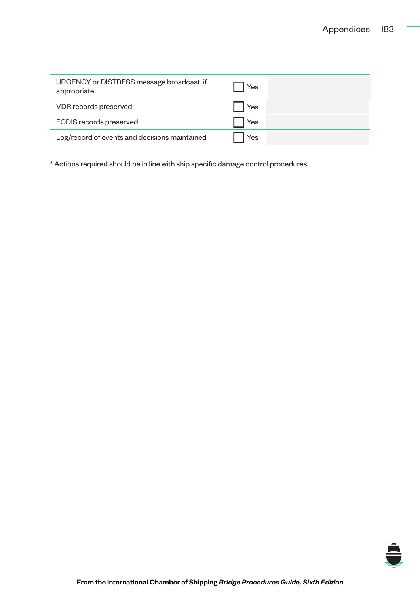| URGENCY or DISTRESS message broadcast, if<br>appropriate | Yes |  |
|----------------------------------------------------------|-----|--|
| VDR records preserved                                    | Yes |  |
| ECDIS records preserved                                  | Yes |  |
| Log/record of events and decisions maintained            | Yes |  |

\* Actions required should be in line with ship specific damage control procedures.

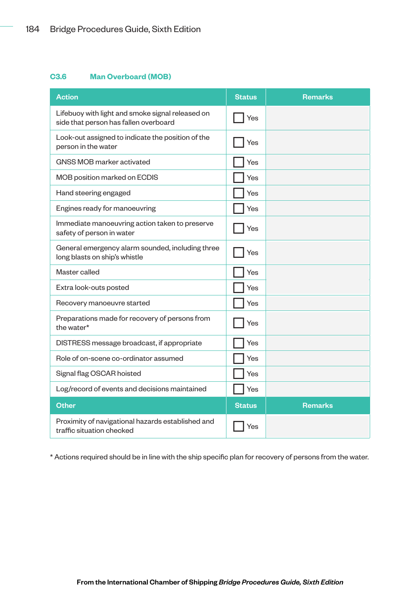#### **C3.6 Man Overboard (MOB)**

| <b>Action</b>                                                                             | <b>Status</b> | <b>Remarks</b> |
|-------------------------------------------------------------------------------------------|---------------|----------------|
| Lifebuoy with light and smoke signal released on<br>side that person has fallen overboard | Yes           |                |
| Look-out assigned to indicate the position of the<br>person in the water                  | Yes           |                |
| GNSS MOB marker activated                                                                 | Yes           |                |
| MOB position marked on ECDIS                                                              | Yes           |                |
| Hand steering engaged                                                                     | Yes           |                |
| Engines ready for manoeuvring                                                             | Yes           |                |
| Immediate manoeuvring action taken to preserve<br>safety of person in water               | Yes           |                |
| General emergency alarm sounded, including three<br>long blasts on ship's whistle         | Yes           |                |
| Master called                                                                             | Yes           |                |
| Extra look-outs posted                                                                    | Yes           |                |
| Recovery manoeuvre started                                                                | Yes           |                |
| Preparations made for recovery of persons from<br>the water*                              | Yes           |                |
| DISTRESS message broadcast, if appropriate                                                | Yes           |                |
| Role of on-scene co-ordinator assumed                                                     | Yes           |                |
| Signal flag OSCAR hoisted                                                                 | Yes           |                |
| Log/record of events and decisions maintained                                             | Yes           |                |
| <b>Other</b>                                                                              | <b>Status</b> | <b>Remarks</b> |
| Proximity of navigational hazards established and<br>traffic situation checked            | Yes           |                |

\* Actions required should be in line with the ship specific plan for recovery of persons from the water.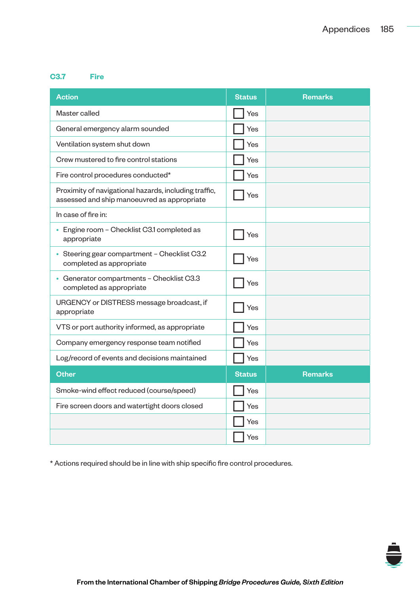#### **C3.7 Fire**

| <b>Action</b>                                                                                        | <b>Status</b> | <b>Remarks</b> |
|------------------------------------------------------------------------------------------------------|---------------|----------------|
| Master called                                                                                        | Yes           |                |
| General emergency alarm sounded                                                                      | Yes           |                |
| Ventilation system shut down                                                                         | Yes           |                |
| Crew mustered to fire control stations                                                               | Yes           |                |
| Fire control procedures conducted*                                                                   | Yes           |                |
| Proximity of navigational hazards, including traffic,<br>assessed and ship manoeuvred as appropriate | Yes           |                |
| In case of fire in:                                                                                  |               |                |
| • Engine room - Checklist C3.1 completed as<br>appropriate                                           | Yes           |                |
| • Steering gear compartment - Checklist C3.2<br>completed as appropriate                             | Yes           |                |
| • Generator compartments - Checklist C3.3<br>completed as appropriate                                | Yes           |                |
| URGENCY or DISTRESS message broadcast, if<br>appropriate                                             | Yes           |                |
| VTS or port authority informed, as appropriate                                                       | Yes           |                |
| Company emergency response team notified                                                             | Yes           |                |
| Log/record of events and decisions maintained                                                        | Yes           |                |
| <b>Other</b>                                                                                         | <b>Status</b> | <b>Remarks</b> |
| Smoke-wind effect reduced (course/speed)                                                             | Yes           |                |
| Fire screen doors and watertight doors closed                                                        | Yes           |                |
|                                                                                                      | Yes           |                |
|                                                                                                      | Yes           |                |

\* Actions required should be in line with ship specific fire control procedures.

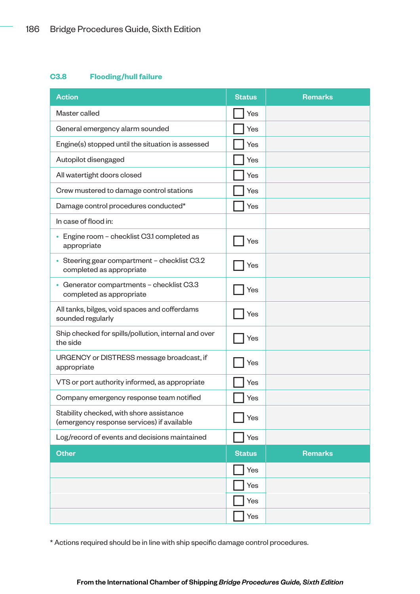#### **C3.8 Flooding/hull failure**

| <b>Action</b>                                                                          | <b>Status</b> | <b>Remarks</b> |
|----------------------------------------------------------------------------------------|---------------|----------------|
| Master called                                                                          | Yes           |                |
| General emergency alarm sounded                                                        | Yes           |                |
| Engine(s) stopped until the situation is assessed                                      | Yes           |                |
| Autopilot disengaged                                                                   | Yes           |                |
| All watertight doors closed                                                            | Yes           |                |
| Crew mustered to damage control stations                                               | Yes           |                |
| Damage control procedures conducted*                                                   | Yes           |                |
| In case of flood in:                                                                   |               |                |
| Engine room - checklist C3.1 completed as<br>appropriate                               | Yes           |                |
| Steering gear compartment - checklist C3.2<br>completed as appropriate                 | Yes           |                |
| • Generator compartments - checklist C3.3<br>completed as appropriate                  | Yes           |                |
| All tanks, bilges, void spaces and cofferdams<br>sounded regularly                     | Yes           |                |
| Ship checked for spills/pollution, internal and over<br>the side                       | Yes           |                |
| URGENCY or DISTRESS message broadcast, if<br>appropriate                               | Yes           |                |
| VTS or port authority informed, as appropriate                                         | Yes           |                |
| Company emergency response team notified                                               | Yes           |                |
| Stability checked, with shore assistance<br>(emergency response services) if available | Yes           |                |
| Log/record of events and decisions maintained                                          | Yes           |                |
| <b>Other</b>                                                                           | <b>Status</b> | <b>Remarks</b> |
|                                                                                        | Yes           |                |
|                                                                                        | Yes           |                |
|                                                                                        | Yes           |                |
|                                                                                        | Yes           |                |

\* Actions required should be in line with ship specific damage control procedures.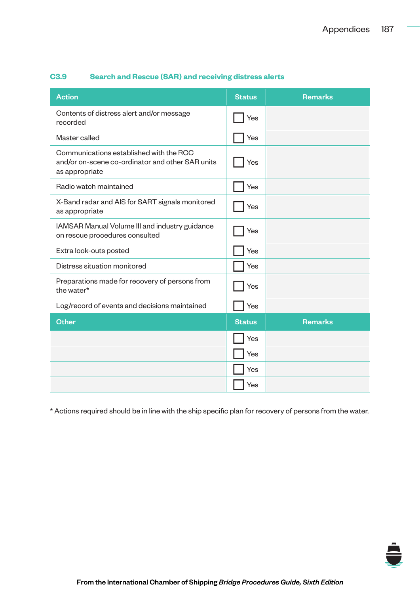| <b>Action</b>                                                                                                 | <b>Status</b> | <b>Remarks</b> |
|---------------------------------------------------------------------------------------------------------------|---------------|----------------|
| Contents of distress alert and/or message<br>recorded                                                         | Yes           |                |
| Master called                                                                                                 | Yes           |                |
| Communications established with the RCC<br>and/or on-scene co-ordinator and other SAR units<br>as appropriate | Yes           |                |
| Radio watch maintained                                                                                        | Yes           |                |
| X-Band radar and AIS for SART signals monitored<br>as appropriate                                             | Yes           |                |
| IAMSAR Manual Volume III and industry guidance<br>on rescue procedures consulted                              | Yes           |                |
| Extra look-outs posted                                                                                        | Yes           |                |
| Distress situation monitored                                                                                  | Yes           |                |
| Preparations made for recovery of persons from<br>the water*                                                  | Yes           |                |
| Log/record of events and decisions maintained                                                                 | Yes           |                |
| <b>Other</b>                                                                                                  | <b>Status</b> | <b>Remarks</b> |
|                                                                                                               | Yes           |                |
|                                                                                                               | Yes           |                |
|                                                                                                               | Yes           |                |
|                                                                                                               | Yes           |                |

# **C3.9 Search and Rescue (SAR) and receiving distress alerts**

\* Actions required should be in line with the ship specific plan for recovery of persons from the water.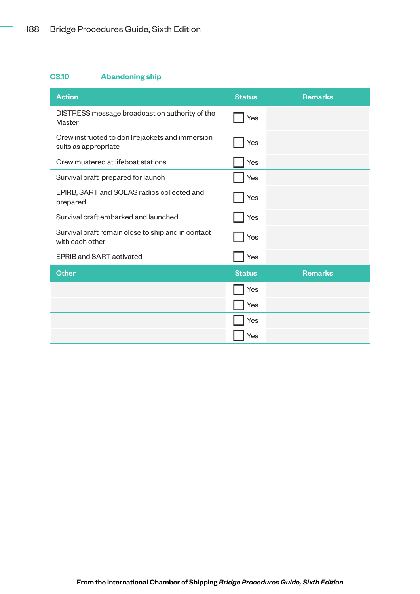# **C3.10 Abandoning ship**

| <b>Action</b>                                                            | <b>Status</b> | <b>Remarks</b> |
|--------------------------------------------------------------------------|---------------|----------------|
| DISTRESS message broadcast on authority of the<br>Master                 | Yes           |                |
| Crew instructed to don lifejackets and immersion<br>suits as appropriate | Yes           |                |
| Crew mustered at lifeboat stations                                       | Yes           |                |
| Survival craft prepared for launch                                       | Yes           |                |
| EPIRB, SART and SOLAS radios collected and<br>prepared                   | Yes           |                |
| Survival craft embarked and launched                                     | Yes           |                |
| Survival craft remain close to ship and in contact<br>with each other    | Yes           |                |
| <b>EPRIB and SART activated</b>                                          | Yes           |                |
| <b>Other</b>                                                             | <b>Status</b> | <b>Remarks</b> |
|                                                                          | Yes           |                |
|                                                                          | Yes           |                |
|                                                                          | Yes           |                |
|                                                                          | Yes           |                |